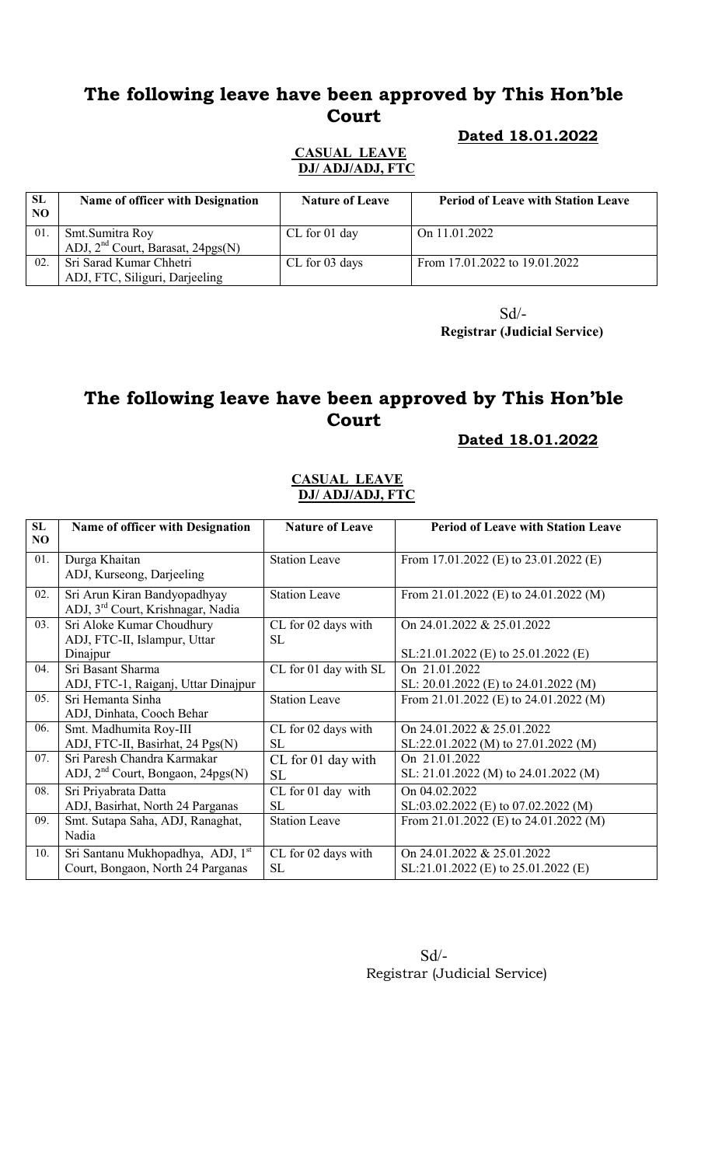# The following leave have been approved by This Hon'ble Court

### Dated 18.01.2022

#### CASUAL LEAVE DJ/ ADJ/ADJ, FTC

| <b>SL</b><br>NO. | Name of officer with Designation              | <b>Nature of Leave</b> | <b>Period of Leave with Station Leave</b> |
|------------------|-----------------------------------------------|------------------------|-------------------------------------------|
| 01               | Smt. Sumitra Roy                              | CL for 01 day          | On $11.01.2022$                           |
|                  | ADJ, 2 <sup>nd</sup> Court, Barasat, 24pgs(N) |                        |                                           |
| 02               | Sri Sarad Kumar Chhetri                       | CL for 03 days         | From 17.01.2022 to 19.01.2022             |
|                  | ADJ, FTC, Siliguri, Darjeeling                |                        |                                           |

Sd/- Registrar (Judicial Service)

# The following leave have been approved by This Hon'ble Court

Dated 18.01.2022

#### CASUAL LEAVE DJ/ ADJ/ADJ, FTC

| SL<br>NO | <b>Name of officer with Designation</b>                                            | <b>Nature of Leave</b>           | <b>Period of Leave with Station Leave</b>                           |
|----------|------------------------------------------------------------------------------------|----------------------------------|---------------------------------------------------------------------|
| 01.      | Durga Khaitan<br>ADJ, Kurseong, Darjeeling                                         | <b>Station Leave</b>             | From 17.01.2022 (E) to $23.01.2022$ (E)                             |
| 02.      | Sri Arun Kiran Bandyopadhyay<br>ADJ, 3 <sup>rd</sup> Court, Krishnagar, Nadia      | <b>Station Leave</b>             | From 21.01.2022 (E) to 24.01.2022 (M)                               |
| 03.      | Sri Aloke Kumar Choudhury<br>ADJ, FTC-II, Islampur, Uttar<br>Dinajpur              | CL for 02 days with<br><b>SL</b> | On 24.01.2022 & 25.01.2022<br>$SL:21.01.2022$ (E) to 25.01.2022 (E) |
| 04.      | Sri Basant Sharma<br>ADJ, FTC-1, Raiganj, Uttar Dinajpur                           | CL for 01 day with SL            | On 21.01.2022<br>SL: $20.01.2022$ (E) to $24.01.2022$ (M)           |
| 05.      | Sri Hemanta Sinha<br>ADJ, Dinhata, Cooch Behar                                     | <b>Station Leave</b>             | From 21.01.2022 (E) to 24.01.2022 (M)                               |
| 06.      | Smt. Madhumita Roy-III<br>ADJ, FTC-II, Basirhat, 24 Pgs(N)                         | CL for 02 days with<br><b>SL</b> | On 24.01.2022 & 25.01.2022<br>SL:22.01.2022 (M) to 27.01.2022 (M)   |
| 07.      | Sri Paresh Chandra Karmakar<br>ADJ, 2 <sup>nd</sup> Court, Bongaon, 24pgs(N)       | CL for 01 day with<br><b>SL</b>  | On 21.01.2022<br>SL: $21.01.2022$ (M) to $24.01.2022$ (M)           |
| 08.      | Sri Priyabrata Datta<br>ADJ, Basirhat, North 24 Parganas                           | CL for 01 day with<br><b>SL</b>  | On 04.02.2022<br>SL:03.02.2022 (E) to 07.02.2022 (M)                |
| 09.      | Smt. Sutapa Saha, ADJ, Ranaghat,<br>Nadia                                          | <b>Station Leave</b>             | From 21.01.2022 (E) to 24.01.2022 (M)                               |
| 10.      | Sri Santanu Mukhopadhya, ADJ, 1 <sup>st</sup><br>Court, Bongaon, North 24 Parganas | CL for 02 days with<br><b>SL</b> | On 24.01.2022 & 25.01.2022<br>SL:21.01.2022 (E) to 25.01.2022 (E)   |

 Sd/- Registrar (Judicial Service)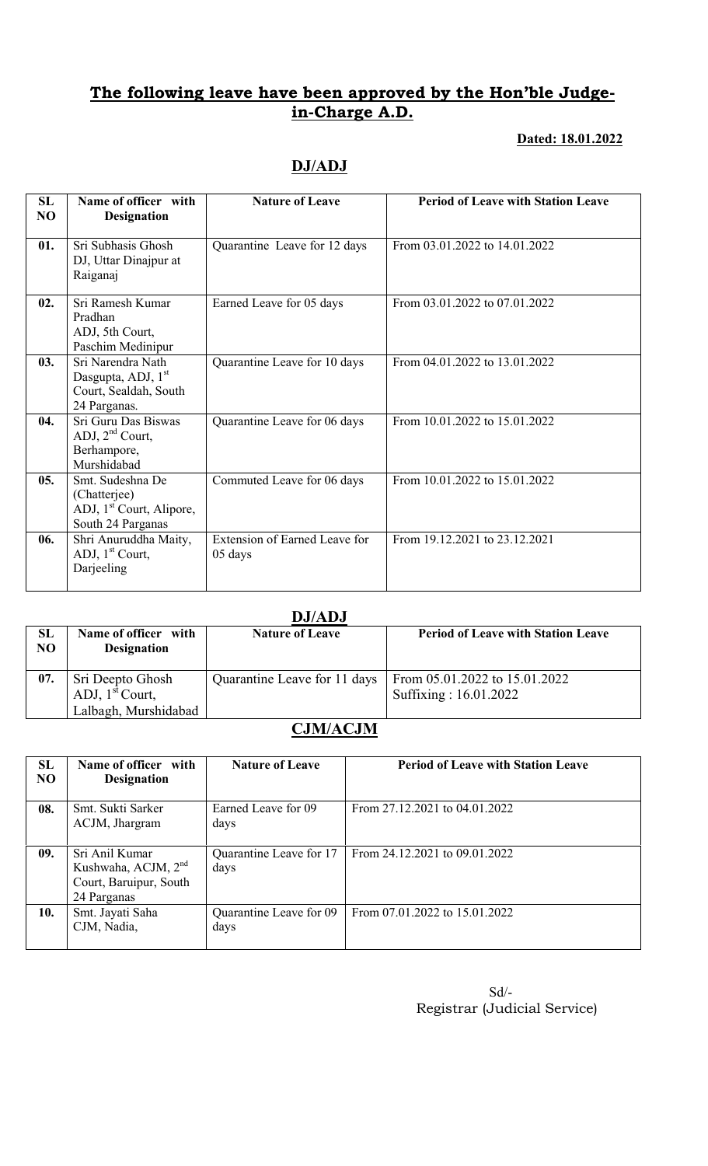## The following leave have been approved by the Hon'ble Judgein-Charge A.D.

### Dated: 18.01.2022

## DJ/ADJ

| SL<br>NO | Name of officer with<br><b>Designation</b>              | <b>Nature of Leave</b>        | <b>Period of Leave with Station Leave</b> |
|----------|---------------------------------------------------------|-------------------------------|-------------------------------------------|
|          |                                                         |                               |                                           |
| 01.      | Sri Subhasis Ghosh<br>DJ, Uttar Dinajpur at             | Quarantine Leave for 12 days  | From 03.01.2022 to 14.01.2022             |
|          | Raiganaj                                                |                               |                                           |
|          |                                                         |                               |                                           |
| 02.      | Sri Ramesh Kumar<br>Pradhan                             | Earned Leave for 05 days      | From 03.01.2022 to 07.01.2022             |
|          | ADJ, 5th Court,                                         |                               |                                           |
|          | Paschim Medinipur                                       |                               |                                           |
| 03.      | Sri Narendra Nath                                       | Quarantine Leave for 10 days  | From 04.01.2022 to 13.01.2022             |
|          | Dasgupta, ADJ, 1 <sup>st</sup><br>Court, Sealdah, South |                               |                                           |
|          | 24 Parganas.                                            |                               |                                           |
| 04.      | Sri Guru Das Biswas                                     | Quarantine Leave for 06 days  | From 10.01.2022 to 15.01.2022             |
|          | ADJ, $2nd$ Court,                                       |                               |                                           |
|          | Berhampore,                                             |                               |                                           |
| 05.      | Murshidabad<br>Smt. Sudeshna De                         | Commuted Leave for 06 days    | From 10.01.2022 to 15.01.2022             |
|          | (Chatterjee)                                            |                               |                                           |
|          | ADJ, 1 <sup>st</sup> Court, Alipore,                    |                               |                                           |
|          | South 24 Parganas                                       |                               |                                           |
| 06.      | Shri Anuruddha Maity,                                   | Extension of Earned Leave for | From 19.12.2021 to 23.12.2021             |
|          | ADJ, $1st$ Court,<br>Darjeeling                         | 05 days                       |                                           |
|          |                                                         |                               |                                           |

#### DJ/ADJ

| <b>SL</b><br>NO | Name of officer with<br><b>Designation</b> | <b>Nature of Leave</b>       | <b>Period of Leave with Station Leave</b>              |
|-----------------|--------------------------------------------|------------------------------|--------------------------------------------------------|
| 07.             | Sri Deepto Ghosh<br>ADJ, $1st$ Court,      | Quarantine Leave for 11 days | From 05.01.2022 to 15.01.2022<br>Suffixing: 16.01.2022 |
|                 | Lalbagh, Murshidabad                       |                              |                                                        |

### CJM/ACJM

| SL<br>N <sub>O</sub> | Name of officer with<br><b>Designation</b>                                                 | <b>Nature of Leave</b>          | <b>Period of Leave with Station Leave</b> |
|----------------------|--------------------------------------------------------------------------------------------|---------------------------------|-------------------------------------------|
| 08.                  | Smt. Sukti Sarker<br>ACJM, Jhargram                                                        | Earned Leave for 09<br>days     | From 27.12.2021 to 04.01.2022             |
| 09.                  | Sri Anil Kumar<br>Kushwaha, ACJM, 2 <sup>nd</sup><br>Court, Baruipur, South<br>24 Parganas | Quarantine Leave for 17<br>days | From 24.12.2021 to 09.01.2022             |
| 10.                  | Smt. Jayati Saha<br>CJM, Nadia,                                                            | Quarantine Leave for 09<br>days | From 07.01.2022 to 15.01.2022             |